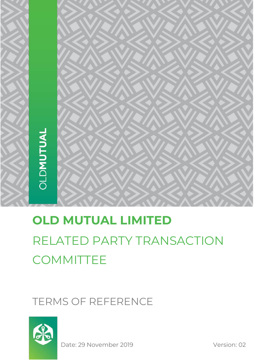# **OLD MUTUAL LIMITED** RELATED PARTY TRANSACTION **COMMITTEE**

# TERMS OF REFERENCE



Date: 29 November 2019 Version: 02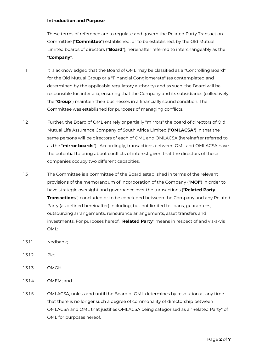#### 1 **Introduction and Purpose**

These terms of reference are to regulate and govern the Related Party Transaction Committee ("**Committee**") established, or to be established, by the Old Mutual Limited boards of directors ("**Board**"), hereinafter referred to interchangeably as the "**Company**".

- 1.1 It is acknowledged that the Board of OML may be classified as a "Controlling Board" for the Old Mutual Group or a "Financial Conglomerate" (as contemplated and determined by the applicable regulatory authority) and as such, the Board will be responsible for, inter alia, ensuring that the Company and its subsidiaries (collectively the "**Group**") maintain their businesses in a financially sound condition. The Committee was established for purposes of managing conflicts.
- 1.2 Further, the Board of OML entirely or partially "mirrors" the board of directors of Old Mutual Life Assurance Company of South Africa Limited ("**OMLACSA**") in that the same persons will be directors of each of OML and OMLACSA (hereinafter referred to as the "**mirror boards**"). Accordingly, transactions between OML and OMLACSA have the potential to bring about conflicts of interest given that the directors of these companies occupy two different capacities.
- 1.3 The Committee is a committee of the Board established in terms of the relevant provisions of the memorandum of incorporation of the Company ("**MOI**") in order to have strategic oversight and governance over the transactions ("**Related Party Transactions**") concluded or to be concluded between the Company and any Related Party (as defined hereinafter) including, but not limited to, loans, guarantees, outsourcing arrangements, reinsurance arrangements, asset transfers and investments. For purposes hereof, "**Related Party**" means in respect of and vis-à-vis OML:
- 1.3.1.1 Nedbank;
- 1.3.1.2 Plc;
- 1.3.1.3 OMGH;
- 1.3.1.4 OMEM; and
- 1.3.1.5 OMLACSA, unless and until the Board of OML determines by resolution at any time that there is no longer such a degree of commonality of directorship between OMLACSA and OML that justifies OMLACSA being categorised as a "Related Party" of OML for purposes hereof.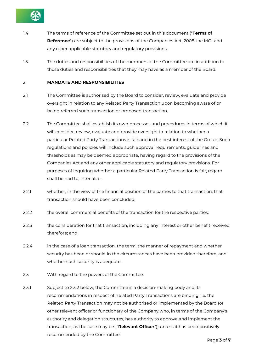

- 1.4 The terms of reference of the Committee set out in this document ("**Terms of Reference**") are subject to the provisions of the Companies Act, 2008 the MOI and any other applicable statutory and regulatory provisions.
- 1.5 The duties and responsibilities of the members of the Committee are in addition to those duties and responsibilities that they may have as a member of the Board.

# 2 **MANDATE AND RESPONSIBILITIES**

- 2.1 The Committee is authorised by the Board to consider, review, evaluate and provide oversight in relation to any Related Party Transaction upon becoming aware of or being referred such transaction or proposed transaction.
- 2.2 The Committee shall establish its own processes and procedures in terms of which it will consider, review, evaluate and provide oversight in relation to whether a particular Related Party Transactions is fair and in the best interest of the Group. Such regulations and policies will include such approval requirements, guidelines and thresholds as may be deemed appropriate, having regard to the provisions of the Companies Act and any other applicable statutory and regulatory provisions. For purposes of inquiring whether a particular Related Party Transaction is fair, regard shall be had to, inter alia –
- 2.2.1 whether, in the view of the financial position of the parties to that transaction, that transaction should have been concluded;
- 2.2.2 the overall commercial benefits of the transaction for the respective parties;
- 2.2.3 the consideration for that transaction, including any interest or other benefit received therefore; and
- 2.2.4 in the case of a loan transaction, the term, the manner of repayment and whether security has been or should in the circumstances have been provided therefore, and whether such security is adequate.
- 2.3 With regard to the powers of the Committee:
- 2.3.1 Subject to 2.3.2 below, the Committee is a decision-making body and its recommendations in respect of Related Party Transactions are binding, i.e. the Related Party Transaction may not be authorised or implemented by the Board (or other relevant officer or functionary of the Company who, in terms of the Company's authority and delegation structures, has authority to approve and implement the transaction, as the case may be ("**Relevant Officer**")) unless it has been positively recommended by the Committee.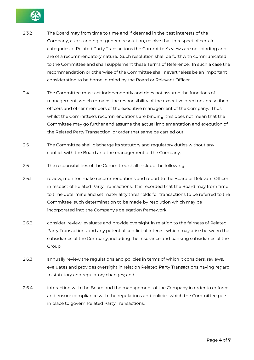

- 2.3.2 The Board may from time to time and if deemed in the best interests of the Company, as a standing or general resolution, resolve that in respect of certain categories of Related Party Transactions the Committee's views are not binding and are of a recommendatory nature. Such resolution shall be forthwith communicated to the Committee and shall supplement these Terms of Reference. In such a case the recommendation or otherwise of the Committee shall nevertheless be an important consideration to be borne in mind by the Board or Relevant Officer.
- 2.4 The Committee must act independently and does not assume the functions of management, which remains the responsibility of the executive directors, prescribed officers and other members of the executive management of the Company. Thus whilst the Committee's recommendations are binding, this does not mean that the Committee may go further and assume the actual implementation and execution of the Related Party Transaction, or order that same be carried out.
- 2.5 The Committee shall discharge its statutory and regulatory duties without any conflict with the Board and the management of the Company.
- 2.6 The responsibilities of the Committee shall include the following:
- 2.6.1 review, monitor, make recommendations and report to the Board or Relevant Officer in respect of Related Party Transactions. It is recorded that the Board may from time to time determine and set materiality thresholds for transactions to be referred to the Committee, such determination to be made by resolution which may be incorporated into the Company's delegation framework;
- 2.6.2 consider, review, evaluate and provide oversight in relation to the fairness of Related Party Transactions and any potential conflict of interest which may arise between the subsidiaries of the Company, including the insurance and banking subsidiaries of the Group;
- 2.6.3 annually review the regulations and policies in terms of which it considers, reviews, evaluates and provides oversight in relation Related Party Transactions having regard to statutory and regulatory changes; and
- 2.6.4 interaction with the Board and the management of the Company in order to enforce and ensure compliance with the regulations and policies which the Committee puts in place to govern Related Party Transactions.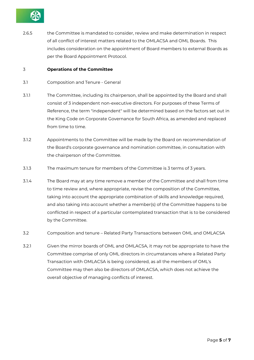

2.6.5 the Committee is mandated to consider, review and make determination in respect of all conflict of interest matters related to the OMLACSA and OML Boards. This includes consideration on the appointment of Board members to external Boards as per the Board Appointment Protocol.

#### 3 **Operations of the Committee**

- 3.1 Composition and Tenure General
- 3.1.1 The Committee, including its chairperson, shall be appointed by the Board and shall consist of 3 independent non-executive directors. For purposes of these Terms of Reference, the term "independent" will be determined based on the factors set out in the King Code on Corporate Governance for South Africa, as amended and replaced from time to time.
- 3.1.2 Appointments to the Committee will be made by the Board on recommendation of the Board's corporate governance and nomination committee, in consultation with the chairperson of the Committee.
- 3.1.3 The maximum tenure for members of the Committee is 3 terms of 3 years.
- 3.1.4 The Board may at any time remove a member of the Committee and shall from time to time review and, where appropriate, revise the composition of the Committee, taking into account the appropriate combination of skills and knowledge required, and also taking into account whether a member(s) of the Committee happens to be conflicted in respect of a particular contemplated transaction that is to be considered by the Committee.
- 3.2 Composition and tenure Related Party Transactions between OML and OMLACSA
- 3.2.1 Given the mirror boards of OML and OMLACSA, it may not be appropriate to have the Committee comprise of only OML directors in circumstances where a Related Party Transaction with OMLACSA is being considered, as all the members of OML's Committee may then also be directors of OMLACSA, which does not achieve the overall objective of managing conflicts of interest.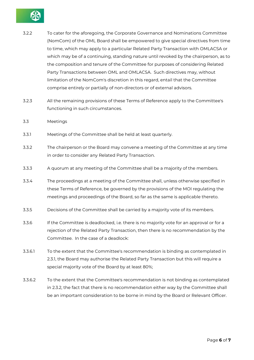

- 3.2.2 To cater for the aforegoing, the Corporate Governance and Nominations Committee (NomCom) of the OML Board shall be empowered to give special directives from time to time, which may apply to a particular Related Party Transaction with OMLACSA or which may be of a continuing, standing nature until revoked by the chairperson, as to the composition and tenure of the Committee for purposes of considering Related Party Transactions between OML and OMLACSA. Such directives may, without limitation of the NomCom's discretion in this regard, entail that the Committee comprise entirely or partially of non-directors or of external advisors.
- 3.2.3 All the remaining provisions of these Terms of Reference apply to the Committee's functioning in such circumstances.
- 3.3 Meetings
- 3.3.1 Meetings of the Committee shall be held at least quarterly.
- 3.3.2 The chairperson or the Board may convene a meeting of the Committee at any time in order to consider any Related Party Transaction.
- 3.3.3 A quorum at any meeting of the Committee shall be a majority of the members.
- 3.3.4 The proceedings at a meeting of the Committee shall, unless otherwise specified in these Terms of Reference, be governed by the provisions of the MOI regulating the meetings and proceedings of the Board, so far as the same is applicable thereto.
- 3.3.5 Decisions of the Committee shall be carried by a majority vote of its members.
- 3.3.6 If the Committee is deadlocked, i.e. there is no majority vote for an approval or for a rejection of the Related Party Transaction, then there is no recommendation by the Committee. In the case of a deadlock:
- 3.3.6.1 To the extent that the Committee's recommendation is binding as contemplated in 2.3.1, the Board may authorise the Related Party Transaction but this will require a special majority vote of the Board by at least 80%;
- 3.3.6.2 To the extent that the Committee's recommendation is not binding as contemplated in 2.3.2, the fact that there is no recommendation either way by the Committee shall be an important consideration to be borne in mind by the Board or Relevant Officer.